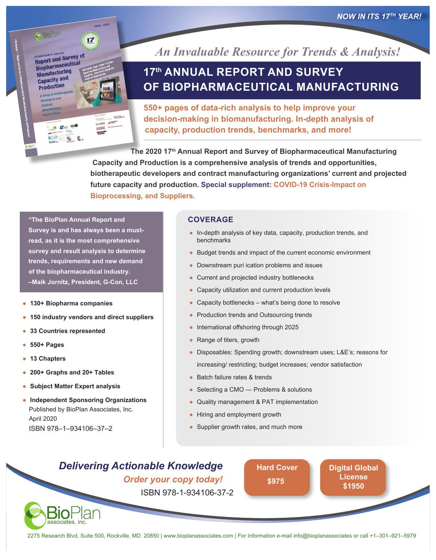*NOW IN ITS 17TH YEAR!*



**Report annual Survey of**<br>Report and Survey of Report and Surfical<br>Biopharmaceutical **Manufacturing** Capacity and **Production** 

 $17$ 

*An Invaluable Resource for Trends & Analysis!*

# **17th ANNUAL REPORT AND SURVEY OF BIOPHARMACEUTICAL MANUFACTURING**

**550+ pages of data-rich analysis to help improve your decision-making in biomanufacturing. In-depth analysis of capacity, production trends, benchmarks, and more!**

**The 2020 17th Annual Report and Survey of Biopharmaceutical Manufacturing Capacity and Production is a comprehensive analysis of trends and opportunities, biotherapeutic developers and contract manufacturing organizations' current and projected future capacity and production. Special supplement: COVID-19 Crisis-Impact on Bioprocessing, and Suppliers.**

**"The BioPlan Annual Report and Survey is and has always been a mustread, as it is the most comprehensive survey and result analysis to determine trends, requirements and new demand of the biopharmaceutical industry. –Maik Jornitz, President, G-Con, LLC**

- **130+ Biopharma companies**
- **150 industry vendors and direct suppliers**
- **33 Countries represented**
- **550+ Pages**
- **13 Chapters**
- **200+ Graphs and 20+ Tables**

associates, inc.

- **Subject Matter Expert analysis**
- **Independent Sponsoring Organizations** Published by BioPlan Associates, Inc. April 2020 ISBN 978–1–934106–37–2

#### **COVERAGE**

- In-depth analysis of key data, capacity, production trends, and benchmarks
- Budget trends and impact of the current economic environment
- Downstream puri ication problems and issues
- Current and projected industry bottlenecks
- Capacity utilization and current production levels
- $\bullet$  Capacity bottlenecks what's being done to resolve
- Production trends and Outsourcing trends
- International offshoring through 2025
- Range of titers, growth
- Disposables: Spending growth; downstream uses; L&E's; reasons for increasing/ restricting; budget increases; vendor satisfaction
- Batch failure rates & trends
- Selecting a CMO Problems & solutions
- Quality management & PAT implementation
- Hiring and employment growth
- Supplier growth rates, and much more

## *Delivering Actionable Knowledge Order your copy today!* ISBN 978-1-934106-37-2

**[Hard Cover](https://secure.ultracart.com/cgi-bin/UCEditor?merchantId=BIOPL&ADD=978-1-934106-37-2) \$975**

**[Digital Global](https://secure.ultracart.com/cgi-bin/UCEditor?merchantId=BIOPL&ADD=978-1-934106-37-2-E) License \$1950**